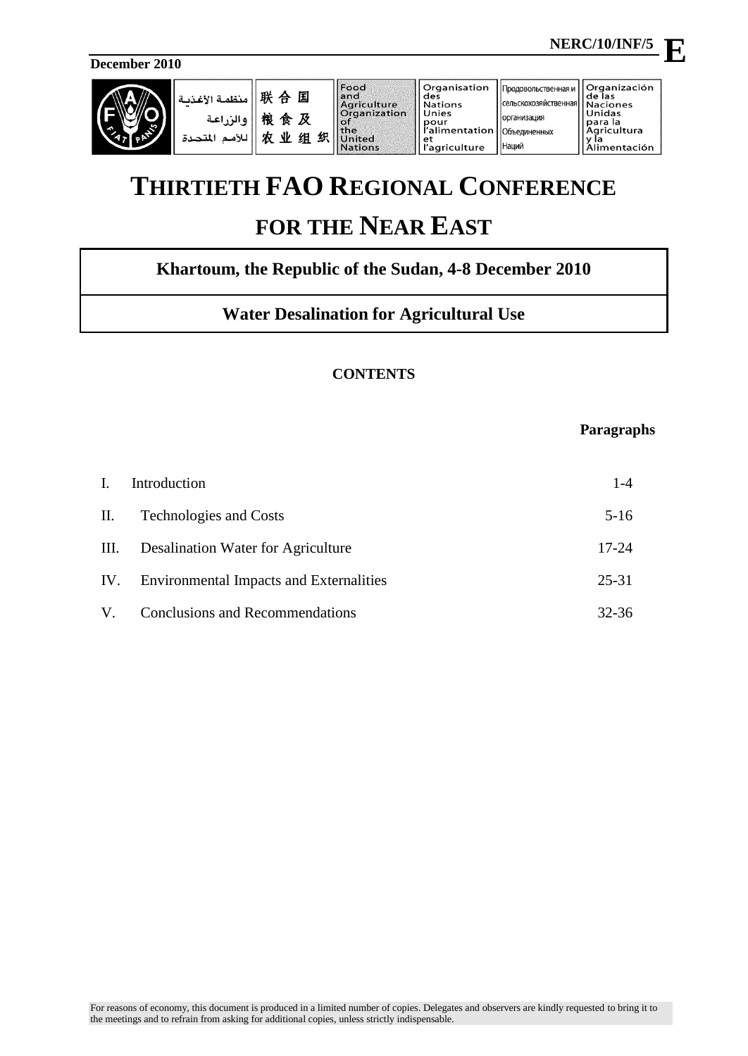**NERC/10/INF/5**

**December 2010**

| L.<br>$\rightarrow$ | منظمة الأغذب<br>ه الي اعة<br>للأمد<br>المتحدة | 联<br>囸<br>₳<br>粮<br>及<br>食<br>织<br>ΝŁ<br>组<br>カ | Food<br>land<br>Agriculture<br>Organization<br>l of<br>the<br>Jnited<br>Nations | l Organisation<br>I des<br>l Nations<br>Unies<br>l pour<br>r'alimentation   Объединенных<br>i et<br>'agriculture | Продовольственная и<br>  сельскохозяйственная <b> </b><br><b>организация</b><br><b>Наций</b> | <b>Organización</b><br>lde las<br><b>Naciones</b><br>Unidas<br>para la<br><b>Agricultura</b><br>v la<br>Alimentación |
|---------------------|-----------------------------------------------|-------------------------------------------------|---------------------------------------------------------------------------------|------------------------------------------------------------------------------------------------------------------|----------------------------------------------------------------------------------------------|----------------------------------------------------------------------------------------------------------------------|
|---------------------|-----------------------------------------------|-------------------------------------------------|---------------------------------------------------------------------------------|------------------------------------------------------------------------------------------------------------------|----------------------------------------------------------------------------------------------|----------------------------------------------------------------------------------------------------------------------|

# **THIRTIETH FAO REGIONAL CONFERENCE FOR THE NEAR EAST**

# **Khartoum, the Republic of the Sudan, 4-8 December 2010**

# **Water Desalination for Agricultural Use**

# **CONTENTS**

# **Paragraphs**

| Ι. | Introduction                                | $1 - 4$   |
|----|---------------------------------------------|-----------|
|    | II. Technologies and Costs                  | $5-16$    |
|    | III. Desalination Water for Agriculture     | $17 - 24$ |
|    | IV. Environmental Impacts and Externalities | $25 - 31$ |
| V. | <b>Conclusions and Recommendations</b>      | 32-36     |

**E**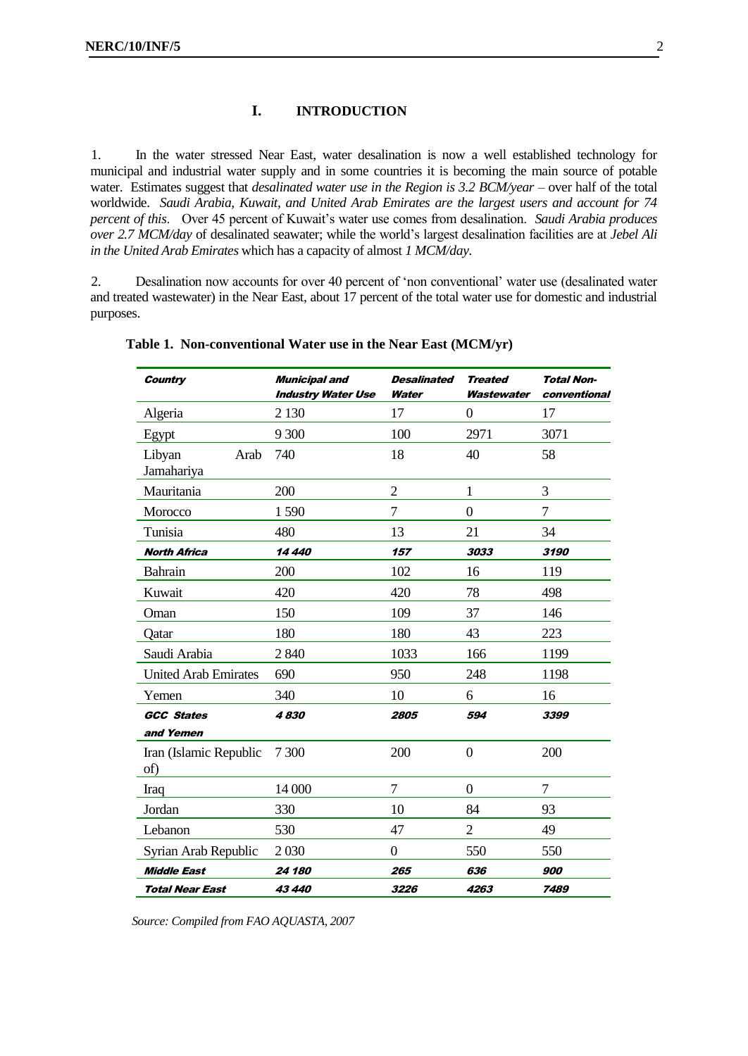### **I. INTRODUCTION**

<span id="page-1-0"></span>1. In the water stressed Near East, water desalination is now a well established technology for municipal and industrial water supply and in some countries it is becoming the main source of potable water. Estimates suggest that *desalinated water use in the Region is 3.2 BCM/year* – over half of the total worldwide. *Saudi Arabia, Kuwait, and United Arab Emirates are the largest users and account for 74 percent of this.* Over 45 percent of Kuwait's water use comes from desalination. *Saudi Arabia produces over 2.7 MCM/day* of desalinated seawater; while the world"s largest desalination facilities are at *Jebel Ali in the United Arab Emirates* which has a capacity of almost *1 MCM/day*.

2. Desalination now accounts for over 40 percent of "non conventional" water use (desalinated water and treated wastewater) in the Near East, about 17 percent of the total water use for domestic and industrial purposes.

| <b>Country</b>                | <b>Municipal and</b><br><b>Industry Water Use</b> | <b>Desalinated</b><br>Water | <b>Treated</b><br>Wastewater | <b>Total Non-</b><br>conventional |
|-------------------------------|---------------------------------------------------|-----------------------------|------------------------------|-----------------------------------|
| Algeria                       | 2 1 3 0                                           | 17                          | $\overline{0}$               | 17                                |
| Egypt                         | 9 300                                             | 100                         | 2971                         | 3071                              |
| Libyan<br>Arab<br>Jamahariya  | 740                                               | 18                          | 40                           | 58                                |
| Mauritania                    | 200                                               | $\overline{2}$              | $\mathbf{1}$                 | 3                                 |
| Morocco                       | 1590                                              | 7                           | $\overline{0}$               | 7                                 |
| Tunisia                       | 480                                               | 13                          | 21                           | 34                                |
| <b>North Africa</b>           | 14 440                                            | 157                         | 3033                         | 3190                              |
| Bahrain                       | 200                                               | 102                         | 16                           | 119                               |
| Kuwait                        | 420                                               | 420                         | 78                           | 498                               |
| Oman                          | 150                                               | 109                         | 37                           | 146                               |
| Qatar                         | 180                                               | 180                         | 43                           | 223                               |
| Saudi Arabia                  | 2840                                              | 1033                        | 166                          | 1199                              |
| <b>United Arab Emirates</b>   | 690                                               | 950                         | 248                          | 1198                              |
| Yemen                         | 340                                               | 10                          | 6                            | 16                                |
| <b>GCC States</b>             | 4830                                              | 2805                        | 594                          | 3399                              |
| and Yemen                     |                                                   |                             |                              |                                   |
| Iran (Islamic Republic<br>of) | 7 300                                             | 200                         | $\overline{0}$               | 200                               |
| Iraq                          | 14 000                                            | 7                           | $\overline{0}$               | 7                                 |
| Jordan                        | 330                                               | 10                          | 84                           | 93                                |
| Lebanon                       | 530                                               | 47                          | $\overline{2}$               | 49                                |
| Syrian Arab Republic          | 2030                                              | $\boldsymbol{0}$            | 550                          | 550                               |
| <b>Middle East</b>            | 24 180                                            | 265                         | 636                          | 900                               |
| <b>Total Near East</b>        | 43 440                                            | 3226                        | 4263                         | 7489                              |

#### **Table 1. Non-conventional Water use in the Near East (MCM/yr)**

*Source: Compiled from FAO AQUASTA, 2007*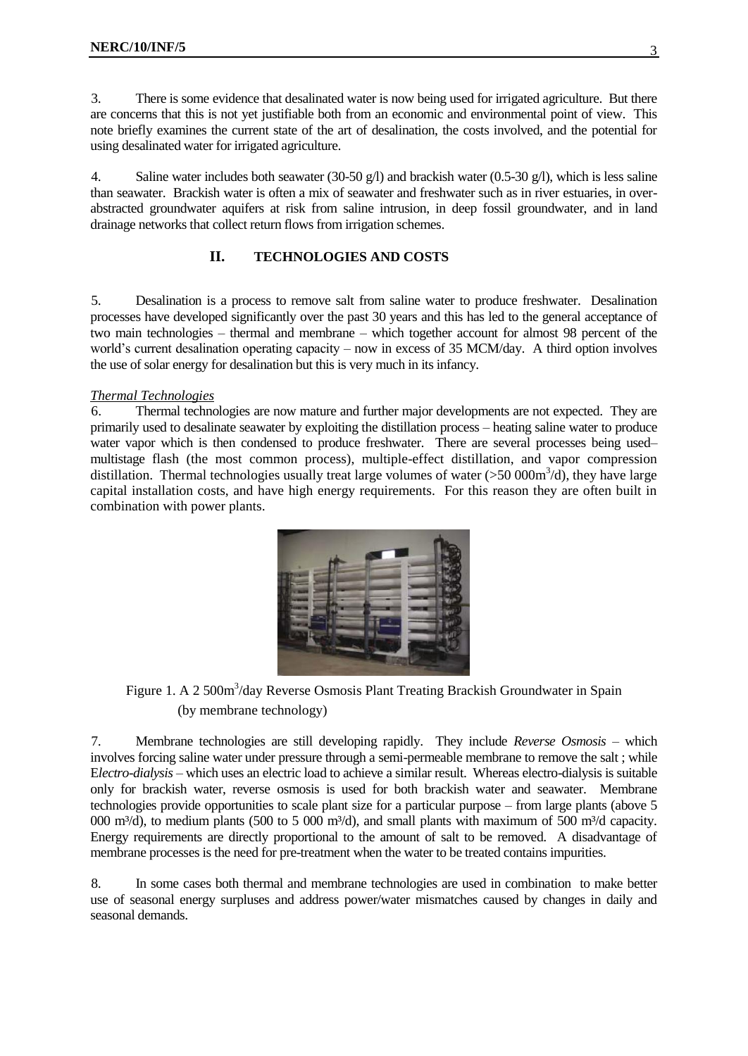3. There is some evidence that desalinated water is now being used for irrigated agriculture. But there are concerns that this is not yet justifiable both from an economic and environmental point of view. This note briefly examines the current state of the art of desalination, the costs involved, and the potential for using desalinated water for irrigated agriculture.

4. Saline water includes both seawater (30-50 g/l) and brackish water (0.5-30 g/l), which is less saline than seawater. Brackish water is often a mix of seawater and freshwater such as in river estuaries, in overabstracted groundwater aquifers at risk from saline intrusion, in deep fossil groundwater, and in land drainage networks that collect return flows from irrigation schemes.

## **II. TECHNOLOGIES AND COSTS**

<span id="page-2-0"></span>5. Desalination is a process to remove salt from saline water to produce freshwater. Desalination processes have developed significantly over the past 30 years and this has led to the general acceptance of two main technologies – thermal and membrane – which together account for almost 98 percent of the world"s current desalination operating capacity – now in excess of 35 MCM/day. A third option involves the use of solar energy for desalination but this is very much in its infancy.

#### *Thermal Technologies*

6. Thermal technologies are now mature and further major developments are not expected. They are primarily used to desalinate seawater by exploiting the distillation process – heating saline water to produce water vapor which is then condensed to produce freshwater. There are several processes being used– multistage flash (the most common process), multiple-effect distillation, and vapor compression distillation. Thermal technologies usually treat large volumes of water  $(>50\,000\text{m}^3/\text{d})$ , they have large capital installation costs, and have high energy requirements. For this reason they are often built in combination with power plants.



Figure 1. A 2 500m<sup>3</sup>/day Reverse Osmosis Plant Treating Brackish Groundwater in Spain (by membrane technology)

7. Membrane technologies are still developing rapidly. They include *Reverse Osmosis* – which involves forcing saline water under pressure through a semi-permeable membrane to remove the salt ; while E*lectro-dialysis* – which uses an electric load to achieve a similar result. Whereas electro-dialysis is suitable only for brackish water, reverse osmosis is used for both brackish water and seawater. Membrane technologies provide opportunities to scale plant size for a particular purpose – from large plants (above 5 000 m<sup>3</sup>/d), to medium plants (500 to 5 000 m<sup>3</sup>/d), and small plants with maximum of 500 m<sup>3</sup>/d capacity. Energy requirements are directly proportional to the amount of salt to be removed. A disadvantage of membrane processes is the need for pre-treatment when the water to be treated contains impurities.

8. In some cases both thermal and membrane technologies are used in combination to make better use of seasonal energy surpluses and address power/water mismatches caused by changes in daily and seasonal demands.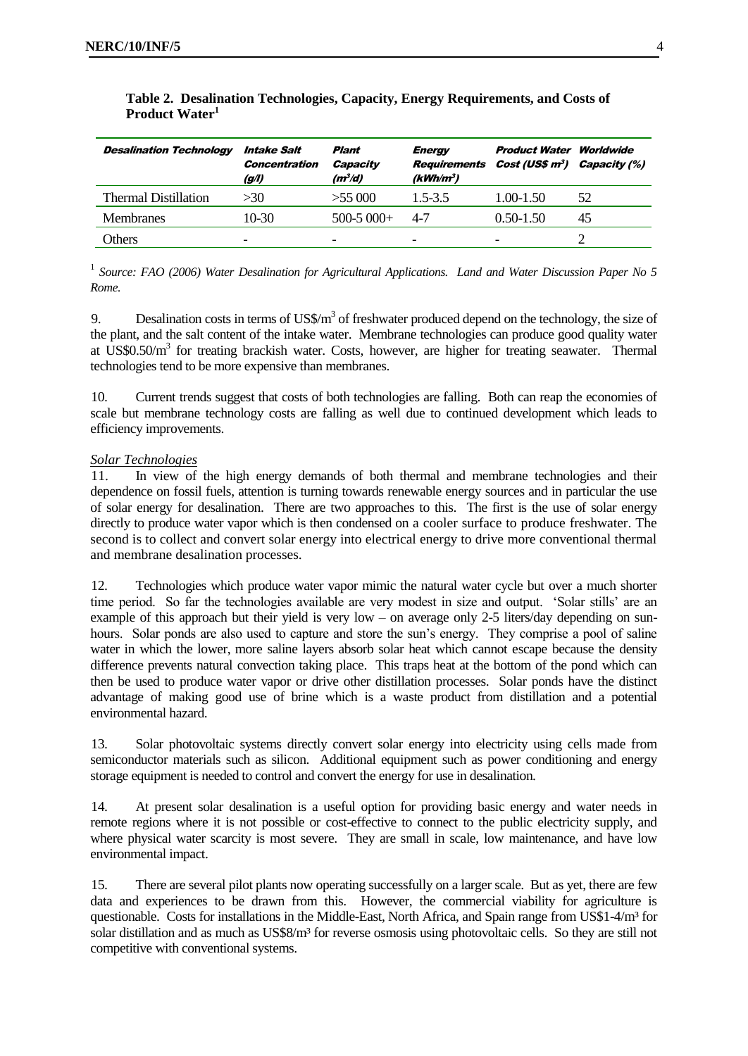| <b>Desalination Technology</b> | Intake Salt<br><b>Concentration</b><br>(g/l) | Plant<br>Capacity<br>$(m^3/d)$ | <b>Energy</b><br>$(kWh/m^3)$ | <b>Product Water Worldwide</b><br><b>Requirements Cost (US\$ m<sup>3</sup>) Capacity (%)</b> |    |
|--------------------------------|----------------------------------------------|--------------------------------|------------------------------|----------------------------------------------------------------------------------------------|----|
| Thermal Distillation           | >30                                          | $>55$ 000                      | $1.5 - 3.5$                  | $1.00 - 1.50$                                                                                | 52 |
| <b>Membranes</b>               | $10-30$                                      | $500-5000+$                    | 4-7                          | $0.50 - 1.50$                                                                                | 45 |
| Others                         | -                                            | -                              | $\overline{\phantom{a}}$     | -                                                                                            |    |

#### **Table 2. Desalination Technologies, Capacity, Energy Requirements, and Costs of Product Water<sup>1</sup>**

<sup>1</sup> Source: FAO (2006) Water Desalination for Agricultural Applications. Land and Water Discussion Paper No 5 *Rome.*

9. Desalination costs in terms of  $\text{US\%}/\text{m}^3$  of freshwater produced depend on the technology, the size of the plant, and the salt content of the intake water. Membrane technologies can produce good quality water at US\$0.50/m<sup>3</sup> for treating brackish water. Costs, however, are higher for treating seawater. Thermal technologies tend to be more expensive than membranes.

10. Current trends suggest that costs of both technologies are falling. Both can reap the economies of scale but membrane technology costs are falling as well due to continued development which leads to efficiency improvements.

#### *Solar Technologies*

11. In view of the high energy demands of both thermal and membrane technologies and their dependence on fossil fuels, attention is turning towards renewable energy sources and in particular the use of solar energy for desalination. There are two approaches to this. The first is the use of solar energy directly to produce water vapor which is then condensed on a cooler surface to produce freshwater. The second is to collect and convert solar energy into electrical energy to drive more conventional thermal and membrane desalination processes.

12. Technologies which produce water vapor mimic the natural water cycle but over a much shorter time period. So far the technologies available are very modest in size and output. "Solar stills" are an example of this approach but their yield is very low – on average only 2-5 liters/day depending on sunhours. Solar ponds are also used to capture and store the sun's energy. They comprise a pool of saline water in which the lower, more saline layers absorb solar heat which cannot escape because the density difference prevents natural convection taking place. This traps heat at the bottom of the pond which can then be used to produce water vapor or drive other distillation processes. Solar ponds have the distinct advantage of making good use of brine which is a waste product from distillation and a potential environmental hazard.

13. Solar photovoltaic systems directly convert solar energy into electricity using cells made from semiconductor materials such as silicon. Additional equipment such as power conditioning and energy storage equipment is needed to control and convert the energy for use in desalination.

14. At present solar desalination is a useful option for providing basic energy and water needs in remote regions where it is not possible or cost-effective to connect to the public electricity supply, and where physical water scarcity is most severe. They are small in scale, low maintenance, and have low environmental impact.

15. There are several pilot plants now operating successfully on a larger scale. But as yet, there are few data and experiences to be drawn from this. However, the commercial viability for agriculture is questionable. Costs for installations in the Middle-East, North Africa, and Spain range from US\$1-4/m<sup>3</sup> for solar distillation and as much as US\$8/m<sup>3</sup> for reverse osmosis using photovoltaic cells. So they are still not competitive with conventional systems.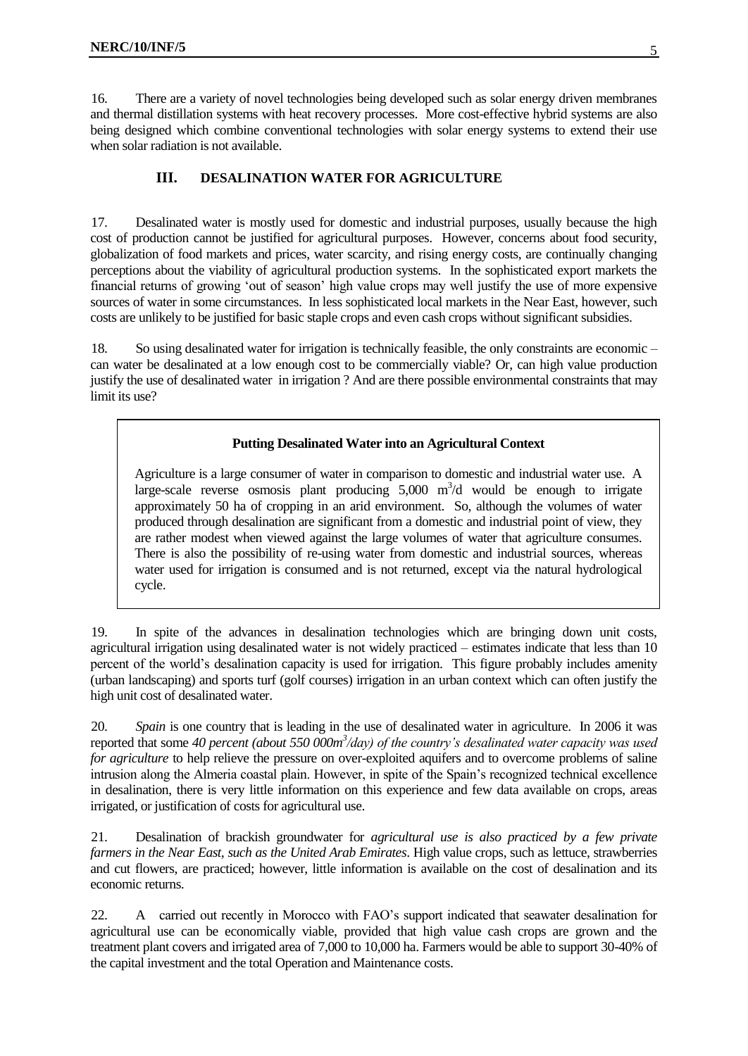16. There are a variety of novel technologies being developed such as solar energy driven membranes and thermal distillation systems with heat recovery processes. More cost-effective hybrid systems are also being designed which combine conventional technologies with solar energy systems to extend their use when solar radiation is not available.

### **III. DESALINATION WATER FOR AGRICULTURE**

<span id="page-4-0"></span>17. Desalinated water is mostly used for domestic and industrial purposes, usually because the high cost of production cannot be justified for agricultural purposes. However, concerns about food security, globalization of food markets and prices, water scarcity, and rising energy costs, are continually changing perceptions about the viability of agricultural production systems. In the sophisticated export markets the financial returns of growing "out of season" high value crops may well justify the use of more expensive sources of water in some circumstances. In less sophisticated local markets in the Near East, however, such costs are unlikely to be justified for basic staple crops and even cash crops without significant subsidies.

18. So using desalinated water for irrigation is technically feasible, the only constraints are economic – can water be desalinated at a low enough cost to be commercially viable? Or, can high value production justify the use of desalinated water in irrigation ? And are there possible environmental constraints that may limit its use?

#### **Putting Desalinated Water into an Agricultural Context**

Agriculture is a large consumer of water in comparison to domestic and industrial water use. A large-scale reverse osmosis plant producing  $5,000 \text{ m}^3$ /d would be enough to irrigate approximately 50 ha of cropping in an arid environment. So, although the volumes of water produced through desalination are significant from a domestic and industrial point of view, they are rather modest when viewed against the large volumes of water that agriculture consumes. There is also the possibility of re-using water from domestic and industrial sources, whereas water used for irrigation is consumed and is not returned, except via the natural hydrological cycle.

19. In spite of the advances in desalination technologies which are bringing down unit costs, agricultural irrigation using desalinated water is not widely practiced – estimates indicate that less than 10 percent of the world"s desalination capacity is used for irrigation. This figure probably includes amenity (urban landscaping) and sports turf (golf courses) irrigation in an urban context which can often justify the high unit cost of desalinated water.

20. *Spain* is one country that is leading in the use of desalinated water in agriculture. In 2006 it was reported that some *40 percent (about 550 000m<sup>3</sup> /day) of the country's desalinated water capacity was used for agriculture* to help relieve the pressure on over-exploited aquifers and to overcome problems of saline intrusion along the Almeria coastal plain. However, in spite of the Spain"s recognized technical excellence in desalination, there is very little information on this experience and few data available on crops, areas irrigated, or justification of costs for agricultural use.

21. Desalination of brackish groundwater for *agricultural use is also practiced by a few private farmers in the Near East, such as the United Arab Emirates*. High value crops, such as lettuce, strawberries and cut flowers, are practiced; however, little information is available on the cost of desalination and its economic returns.

22. A carried out recently in Morocco with FAO"s support indicated that seawater desalination for agricultural use can be economically viable, provided that high value cash crops are grown and the treatment plant covers and irrigated area of 7,000 to 10,000 ha. Farmers would be able to support 30-40% of the capital investment and the total Operation and Maintenance costs.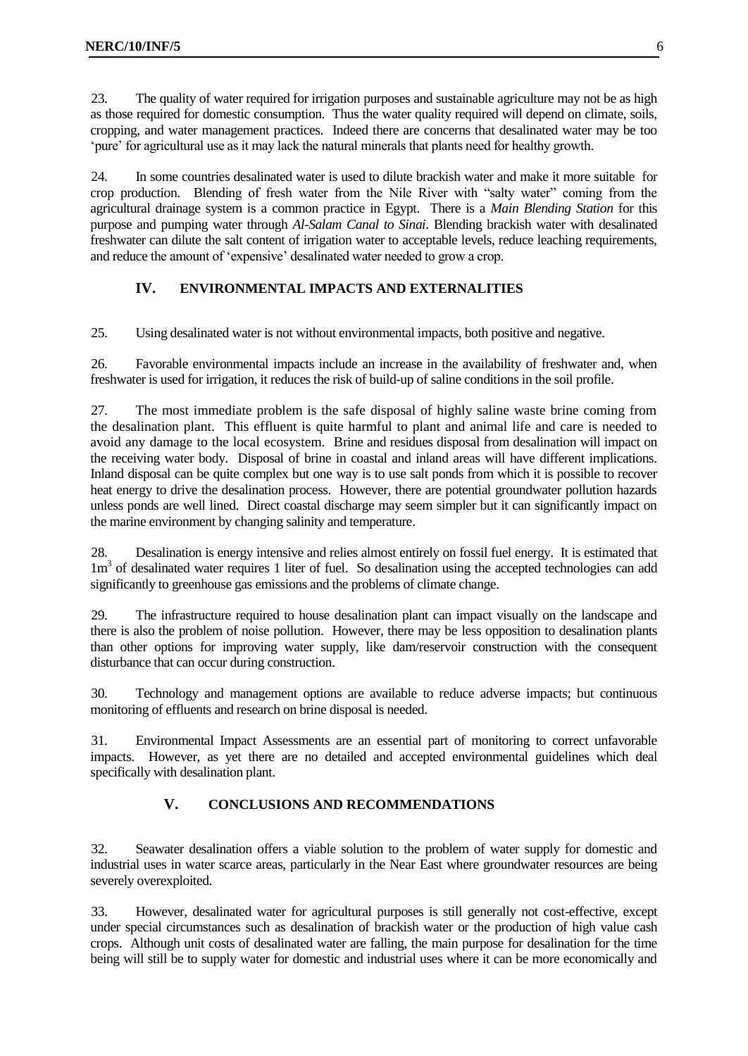23. The quality of water required for irrigation purposes and sustainable agriculture may not be as high as those required for domestic consumption. Thus the water quality required will depend on climate, soils, cropping, and water management practices. Indeed there are concerns that desalinated water may be too "pure" for agricultural use as it may lack the natural minerals that plants need for healthy growth.

24. In some countries desalinated water is used to dilute brackish water and make it more suitable for crop production. Blending of fresh water from the Nile River with "salty water" coming from the agricultural drainage system is a common practice in Egypt. There is a *Main Blending Station* for this purpose and pumping water through *Al-Salam Canal to Sinai*. Blending brackish water with desalinated freshwater can dilute the salt content of irrigation water to acceptable levels, reduce leaching requirements, and reduce the amount of "expensive" desalinated water needed to grow a crop.

# **IV. ENVIRONMENTAL IMPACTS AND EXTERNALITIES**

<span id="page-5-0"></span>25. Using desalinated water is not without environmental impacts, both positive and negative.

26. Favorable environmental impacts include an increase in the availability of freshwater and, when freshwater is used for irrigation, it reduces the risk of build-up of saline conditions in the soil profile.

27. The most immediate problem is the safe disposal of highly saline waste brine coming from the desalination plant. This effluent is quite harmful to plant and animal life and care is needed to avoid any damage to the local ecosystem. Brine and residues disposal from desalination will impact on the receiving water body. Disposal of brine in coastal and inland areas will have different implications. Inland disposal can be quite complex but one way is to use salt ponds from which it is possible to recover heat energy to drive the desalination process. However, there are potential groundwater pollution hazards unless ponds are well lined. Direct coastal discharge may seem simpler but it can significantly impact on the marine environment by changing salinity and temperature.

28. Desalination is energy intensive and relies almost entirely on fossil fuel energy. It is estimated that 1m<sup>3</sup> of desalinated water requires 1 liter of fuel. So desalination using the accepted technologies can add significantly to greenhouse gas emissions and the problems of climate change.

29. The infrastructure required to house desalination plant can impact visually on the landscape and there is also the problem of noise pollution. However, there may be less opposition to desalination plants than other options for improving water supply, like dam/reservoir construction with the consequent disturbance that can occur during construction.

30. Technology and management options are available to reduce adverse impacts; but continuous monitoring of effluents and research on brine disposal is needed.

31. Environmental Impact Assessments are an essential part of monitoring to correct unfavorable impacts. However, as yet there are no detailed and accepted environmental guidelines which deal specifically with desalination plant.

## **V. CONCLUSIONS AND RECOMMENDATIONS**

<span id="page-5-1"></span>32. Seawater desalination offers a viable solution to the problem of water supply for domestic and industrial uses in water scarce areas, particularly in the Near East where groundwater resources are being severely overexploited.

33. However, desalinated water for agricultural purposes is still generally not cost-effective, except under special circumstances such as desalination of brackish water or the production of high value cash crops. Although unit costs of desalinated water are falling, the main purpose for desalination for the time being will still be to supply water for domestic and industrial uses where it can be more economically and